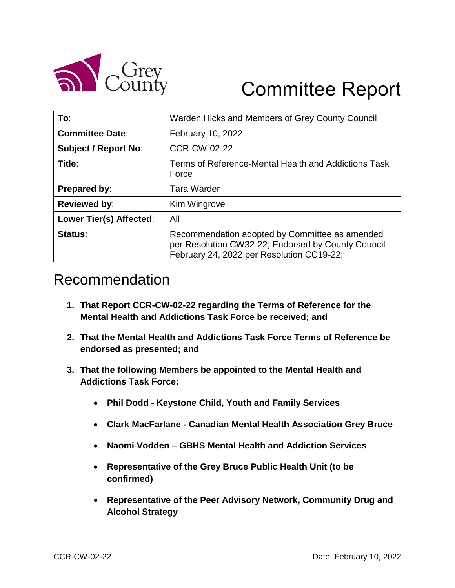

# Committee Report

| To:                         | Warden Hicks and Members of Grey County Council                                                                                                   |
|-----------------------------|---------------------------------------------------------------------------------------------------------------------------------------------------|
| <b>Committee Date:</b>      | February 10, 2022                                                                                                                                 |
| <b>Subject / Report No:</b> | <b>CCR-CW-02-22</b>                                                                                                                               |
| Title:                      | Terms of Reference-Mental Health and Addictions Task<br>Force                                                                                     |
| <b>Prepared by:</b>         | <b>Tara Warder</b>                                                                                                                                |
| <b>Reviewed by:</b>         | Kim Wingrove                                                                                                                                      |
| Lower Tier(s) Affected:     | All                                                                                                                                               |
| Status:                     | Recommendation adopted by Committee as amended<br>per Resolution CW32-22; Endorsed by County Council<br>February 24, 2022 per Resolution CC19-22; |

# Recommendation

- **1. That Report CCR-CW-02-22 regarding the Terms of Reference for the Mental Health and Addictions Task Force be received; and**
- **2. That the Mental Health and Addictions Task Force Terms of Reference be endorsed as presented; and**
- **3. That the following Members be appointed to the Mental Health and Addictions Task Force:**
	- **Phil Dodd - Keystone Child, Youth and Family Services**
	- **Clark MacFarlane - Canadian Mental Health Association Grey Bruce**
	- **Naomi Vodden – GBHS Mental Health and Addiction Services**
	- **Representative of the Grey Bruce Public Health Unit (to be confirmed)**
	- **Representative of the Peer Advisory Network, Community Drug and Alcohol Strategy**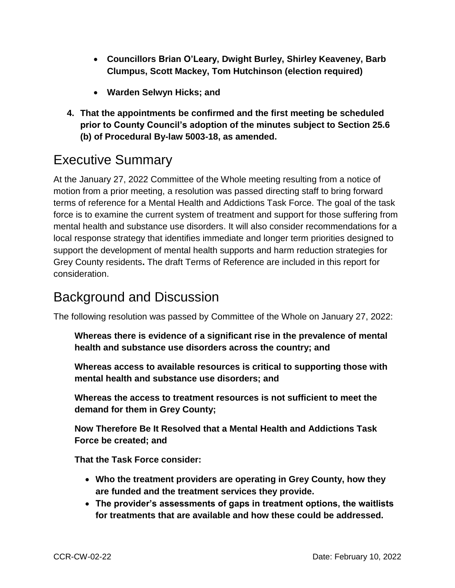- **Councillors Brian O'Leary, Dwight Burley, Shirley Keaveney, Barb Clumpus, Scott Mackey, Tom Hutchinson (election required)**
- **Warden Selwyn Hicks; and**
- **4. That the appointments be confirmed and the first meeting be scheduled prior to County Council's adoption of the minutes subject to Section 25.6 (b) of Procedural By-law 5003-18, as amended.**

## Executive Summary

At the January 27, 2022 Committee of the Whole meeting resulting from a notice of motion from a prior meeting, a resolution was passed directing staff to bring forward terms of reference for a Mental Health and Addictions Task Force. The goal of the task force is to examine the current system of treatment and support for those suffering from mental health and substance use disorders. It will also consider recommendations for a local response strategy that identifies immediate and longer term priorities designed to support the development of mental health supports and harm reduction strategies for Grey County residents**.** The draft Terms of Reference are included in this report for consideration.

# Background and Discussion

The following resolution was passed by Committee of the Whole on January 27, 2022:

**Whereas there is evidence of a significant rise in the prevalence of mental health and substance use disorders across the country; and**

**Whereas access to available resources is critical to supporting those with mental health and substance use disorders; and**

**Whereas the access to treatment resources is not sufficient to meet the demand for them in Grey County;**

**Now Therefore Be It Resolved that a Mental Health and Addictions Task Force be created; and**

**That the Task Force consider:**

- **Who the treatment providers are operating in Grey County, how they are funded and the treatment services they provide.**
- **The provider's assessments of gaps in treatment options, the waitlists for treatments that are available and how these could be addressed.**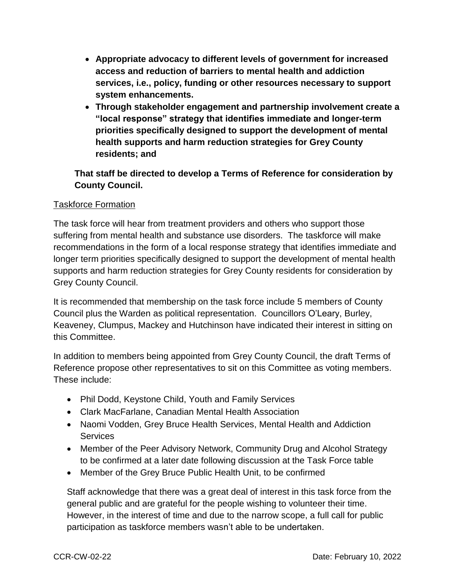- **Appropriate advocacy to different levels of government for increased access and reduction of barriers to mental health and addiction services, i.e., policy, funding or other resources necessary to support system enhancements.**
- **Through stakeholder engagement and partnership involvement create a "local response" strategy that identifies immediate and longer-term priorities specifically designed to support the development of mental health supports and harm reduction strategies for Grey County residents; and**

**That staff be directed to develop a Terms of Reference for consideration by County Council.** 

#### Taskforce Formation

The task force will hear from treatment providers and others who support those suffering from mental health and substance use disorders. The taskforce will make recommendations in the form of a local response strategy that identifies immediate and longer term priorities specifically designed to support the development of mental health supports and harm reduction strategies for Grey County residents for consideration by Grey County Council.

It is recommended that membership on the task force include 5 members of County Council plus the Warden as political representation. Councillors O'Leary, Burley, Keaveney, Clumpus, Mackey and Hutchinson have indicated their interest in sitting on this Committee.

In addition to members being appointed from Grey County Council, the draft Terms of Reference propose other representatives to sit on this Committee as voting members. These include:

- Phil Dodd, Keystone Child, Youth and Family Services
- Clark MacFarlane, Canadian Mental Health Association
- Naomi Vodden, Grey Bruce Health Services, Mental Health and Addiction **Services**
- Member of the Peer Advisory Network, Community Drug and Alcohol Strategy to be confirmed at a later date following discussion at the Task Force table
- Member of the Grey Bruce Public Health Unit, to be confirmed

Staff acknowledge that there was a great deal of interest in this task force from the general public and are grateful for the people wishing to volunteer their time. However, in the interest of time and due to the narrow scope, a full call for public participation as taskforce members wasn't able to be undertaken.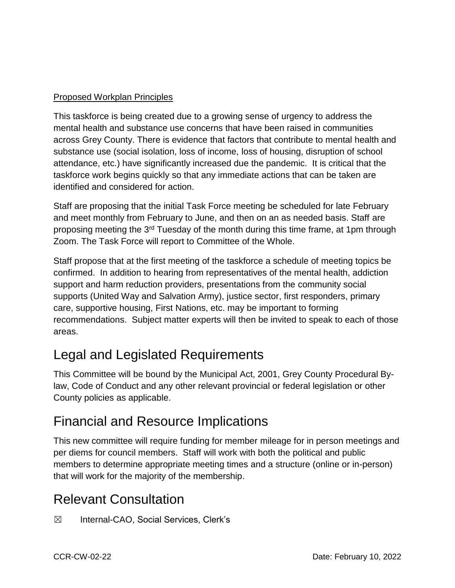#### Proposed Workplan Principles

This taskforce is being created due to a growing sense of urgency to address the mental health and substance use concerns that have been raised in communities across Grey County. There is evidence that factors that contribute to mental health and substance use (social isolation, loss of income, loss of housing, disruption of school attendance, etc.) have significantly increased due the pandemic. It is critical that the taskforce work begins quickly so that any immediate actions that can be taken are identified and considered for action.

Staff are proposing that the initial Task Force meeting be scheduled for late February and meet monthly from February to June, and then on an as needed basis. Staff are proposing meeting the 3rd Tuesday of the month during this time frame, at 1pm through Zoom. The Task Force will report to Committee of the Whole.

Staff propose that at the first meeting of the taskforce a schedule of meeting topics be confirmed. In addition to hearing from representatives of the mental health, addiction support and harm reduction providers, presentations from the community social supports (United Way and Salvation Army), justice sector, first responders, primary care, supportive housing, First Nations, etc. may be important to forming recommendations. Subject matter experts will then be invited to speak to each of those areas.

# Legal and Legislated Requirements

This Committee will be bound by the Municipal Act, 2001, Grey County Procedural Bylaw, Code of Conduct and any other relevant provincial or federal legislation or other County policies as applicable.

### Financial and Resource Implications

This new committee will require funding for member mileage for in person meetings and per diems for council members. Staff will work with both the political and public members to determine appropriate meeting times and a structure (online or in-person) that will work for the majority of the membership.

# Relevant Consultation

☒ Internal-CAO, Social Services, Clerk's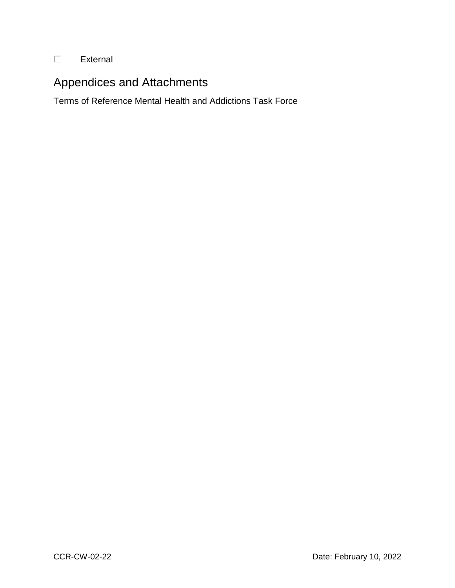#### ☐ External

#### Appendices and Attachments

Terms of Reference Mental Health and Addictions Task Force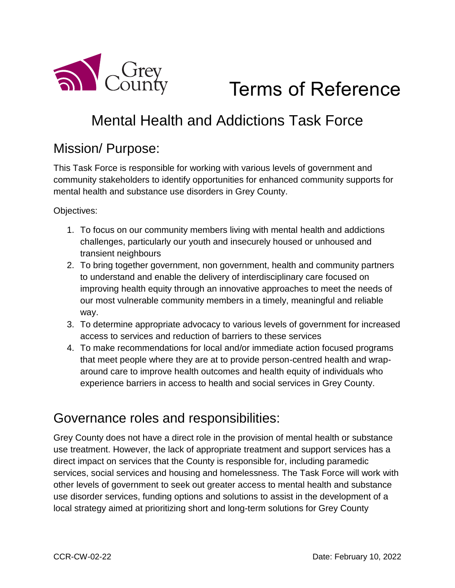

# Terms of Reference

# Mental Health and Addictions Task Force

### Mission/ Purpose:

This Task Force is responsible for working with various levels of government and community stakeholders to identify opportunities for enhanced community supports for mental health and substance use disorders in Grey County.

Objectives:

- 1. To focus on our community members living with mental health and addictions challenges, particularly our youth and insecurely housed or unhoused and transient neighbours
- 2. To bring together government, non government, health and community partners to understand and enable the delivery of interdisciplinary care focused on improving health equity through an innovative approaches to meet the needs of our most vulnerable community members in a timely, meaningful and reliable way.
- 3. To determine appropriate advocacy to various levels of government for increased access to services and reduction of barriers to these services
- 4. To make recommendations for local and/or immediate action focused programs that meet people where they are at to provide person-centred health and wraparound care to improve health outcomes and health equity of individuals who experience barriers in access to health and social services in Grey County.

#### Governance roles and responsibilities:

Grey County does not have a direct role in the provision of mental health or substance use treatment. However, the lack of appropriate treatment and support services has a direct impact on services that the County is responsible for, including paramedic services, social services and housing and homelessness. The Task Force will work with other levels of government to seek out greater access to mental health and substance use disorder services, funding options and solutions to assist in the development of a local strategy aimed at prioritizing short and long-term solutions for Grey County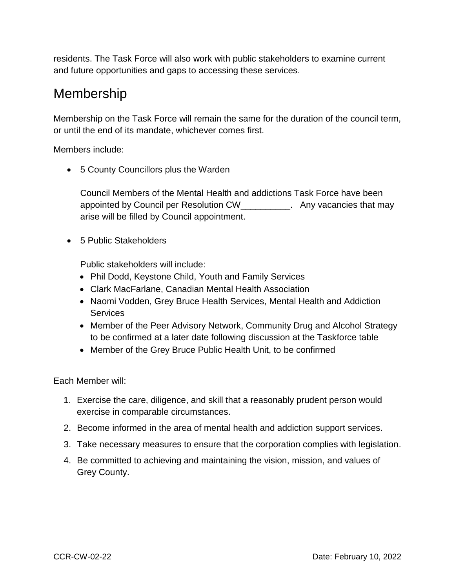residents. The Task Force will also work with public stakeholders to examine current and future opportunities and gaps to accessing these services.

## Membership

Membership on the Task Force will remain the same for the duration of the council term, or until the end of its mandate, whichever comes first.

Members include:

5 County Councillors plus the Warden

Council Members of the Mental Health and addictions Task Force have been appointed by Council per Resolution CW\_\_\_\_\_\_\_\_\_\_. Any vacancies that may arise will be filled by Council appointment.

• 5 Public Stakeholders

Public stakeholders will include:

- Phil Dodd, Keystone Child, Youth and Family Services
- Clark MacFarlane, Canadian Mental Health Association
- Naomi Vodden, Grey Bruce Health Services, Mental Health and Addiction **Services**
- Member of the Peer Advisory Network, Community Drug and Alcohol Strategy to be confirmed at a later date following discussion at the Taskforce table
- Member of the Grey Bruce Public Health Unit, to be confirmed

Each Member will:

- 1. Exercise the care, diligence, and skill that a reasonably prudent person would exercise in comparable circumstances.
- 2. Become informed in the area of mental health and addiction support services.
- 3. Take necessary measures to ensure that the corporation complies with legislation.
- 4. Be committed to achieving and maintaining the vision, mission, and values of Grey County.